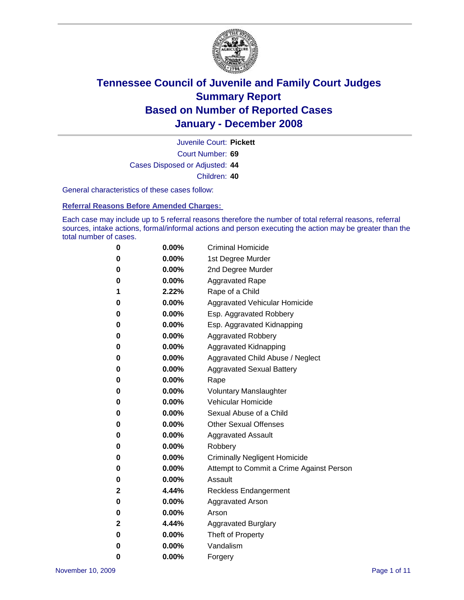

Court Number: **69** Juvenile Court: **Pickett** Cases Disposed or Adjusted: **44** Children: **40**

General characteristics of these cases follow:

**Referral Reasons Before Amended Charges:** 

Each case may include up to 5 referral reasons therefore the number of total referral reasons, referral sources, intake actions, formal/informal actions and person executing the action may be greater than the total number of cases.

| 0            | $0.00\%$ | <b>Criminal Homicide</b>                 |
|--------------|----------|------------------------------------------|
| 0            | $0.00\%$ | 1st Degree Murder                        |
| 0            | $0.00\%$ | 2nd Degree Murder                        |
| 0            | $0.00\%$ | <b>Aggravated Rape</b>                   |
| 1            | 2.22%    | Rape of a Child                          |
| 0            | $0.00\%$ | Aggravated Vehicular Homicide            |
| 0            | $0.00\%$ | Esp. Aggravated Robbery                  |
| 0            | $0.00\%$ | Esp. Aggravated Kidnapping               |
| 0            | 0.00%    | <b>Aggravated Robbery</b>                |
| 0            | $0.00\%$ | Aggravated Kidnapping                    |
| 0            | $0.00\%$ | Aggravated Child Abuse / Neglect         |
| 0            | $0.00\%$ | <b>Aggravated Sexual Battery</b>         |
| 0            | 0.00%    | Rape                                     |
| 0            | $0.00\%$ | <b>Voluntary Manslaughter</b>            |
| 0            | $0.00\%$ | Vehicular Homicide                       |
| 0            | $0.00\%$ | Sexual Abuse of a Child                  |
| 0            | $0.00\%$ | <b>Other Sexual Offenses</b>             |
| 0            | $0.00\%$ | <b>Aggravated Assault</b>                |
| 0            | $0.00\%$ | Robbery                                  |
| 0            | $0.00\%$ | <b>Criminally Negligent Homicide</b>     |
| 0            | $0.00\%$ | Attempt to Commit a Crime Against Person |
| 0            | $0.00\%$ | Assault                                  |
| $\mathbf{2}$ | 4.44%    | <b>Reckless Endangerment</b>             |
| 0            | $0.00\%$ | <b>Aggravated Arson</b>                  |
| 0            | $0.00\%$ | Arson                                    |
| $\mathbf{2}$ | 4.44%    | <b>Aggravated Burglary</b>               |
| 0            | $0.00\%$ | Theft of Property                        |
| 0            | $0.00\%$ | Vandalism                                |
| 0            | 0.00%    | Forgery                                  |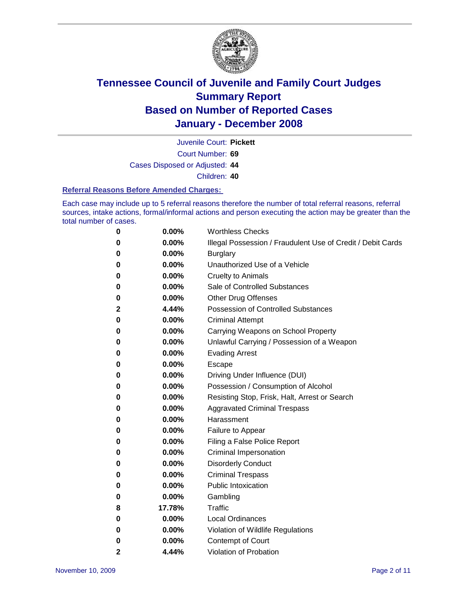

Juvenile Court: **Pickett**

Court Number: **69**

Cases Disposed or Adjusted: **44**

Children: **40**

#### **Referral Reasons Before Amended Charges:**

Each case may include up to 5 referral reasons therefore the number of total referral reasons, referral sources, intake actions, formal/informal actions and person executing the action may be greater than the total number of cases.

| 0 | 0.00%  | <b>Worthless Checks</b>                                     |
|---|--------|-------------------------------------------------------------|
| 0 | 0.00%  | Illegal Possession / Fraudulent Use of Credit / Debit Cards |
| 0 | 0.00%  | <b>Burglary</b>                                             |
| 0 | 0.00%  | Unauthorized Use of a Vehicle                               |
| 0 | 0.00%  | <b>Cruelty to Animals</b>                                   |
| 0 | 0.00%  | Sale of Controlled Substances                               |
| 0 | 0.00%  | <b>Other Drug Offenses</b>                                  |
| 2 | 4.44%  | <b>Possession of Controlled Substances</b>                  |
| 0 | 0.00%  | <b>Criminal Attempt</b>                                     |
| 0 | 0.00%  | Carrying Weapons on School Property                         |
| 0 | 0.00%  | Unlawful Carrying / Possession of a Weapon                  |
| 0 | 0.00%  | <b>Evading Arrest</b>                                       |
| 0 | 0.00%  | <b>Escape</b>                                               |
| 0 | 0.00%  | Driving Under Influence (DUI)                               |
| 0 | 0.00%  | Possession / Consumption of Alcohol                         |
| 0 | 0.00%  | Resisting Stop, Frisk, Halt, Arrest or Search               |
| 0 | 0.00%  | <b>Aggravated Criminal Trespass</b>                         |
| 0 | 0.00%  | Harassment                                                  |
| 0 | 0.00%  | Failure to Appear                                           |
| 0 | 0.00%  | Filing a False Police Report                                |
| 0 | 0.00%  | Criminal Impersonation                                      |
| 0 | 0.00%  | <b>Disorderly Conduct</b>                                   |
| 0 | 0.00%  | <b>Criminal Trespass</b>                                    |
| 0 | 0.00%  | <b>Public Intoxication</b>                                  |
| 0 | 0.00%  | Gambling                                                    |
| 8 | 17.78% | Traffic                                                     |
| 0 | 0.00%  | <b>Local Ordinances</b>                                     |
| 0 | 0.00%  | Violation of Wildlife Regulations                           |
| 0 | 0.00%  | Contempt of Court                                           |
| 2 | 4.44%  | <b>Violation of Probation</b>                               |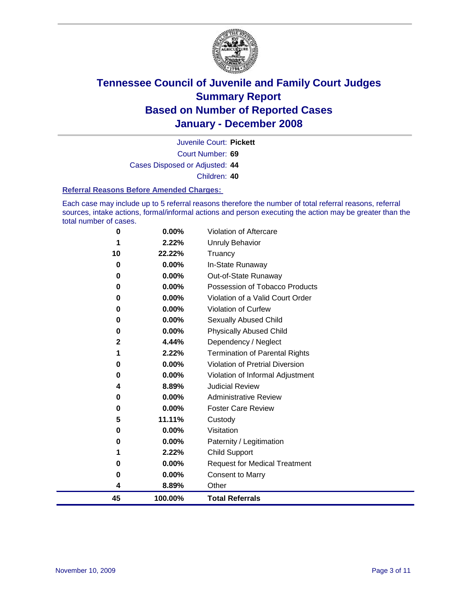

Court Number: **69** Juvenile Court: **Pickett** Cases Disposed or Adjusted: **44** Children: **40**

#### **Referral Reasons Before Amended Charges:**

Each case may include up to 5 referral reasons therefore the number of total referral reasons, referral sources, intake actions, formal/informal actions and person executing the action may be greater than the total number of cases.

| 0        | 0.00%    | <b>Violation of Aftercare</b>         |
|----------|----------|---------------------------------------|
|          | 2.22%    | Unruly Behavior                       |
| 10       | 22.22%   | Truancy                               |
| $\bf{0}$ | 0.00%    | In-State Runaway                      |
| 0        | 0.00%    | Out-of-State Runaway                  |
| 0        | 0.00%    | Possession of Tobacco Products        |
| 0        | 0.00%    | Violation of a Valid Court Order      |
| 0        | 0.00%    | Violation of Curfew                   |
| 0        | 0.00%    | Sexually Abused Child                 |
| 0        | 0.00%    | <b>Physically Abused Child</b>        |
| 2        | 4.44%    | Dependency / Neglect                  |
|          | 2.22%    | <b>Termination of Parental Rights</b> |
| 0        | 0.00%    | Violation of Pretrial Diversion       |
| 0        | 0.00%    | Violation of Informal Adjustment      |
| 4        | 8.89%    | <b>Judicial Review</b>                |
| 0        | 0.00%    | <b>Administrative Review</b>          |
| 0        | $0.00\%$ | <b>Foster Care Review</b>             |
| 5        | 11.11%   | Custody                               |
| 0        | 0.00%    | Visitation                            |
| 0        | 0.00%    | Paternity / Legitimation              |
|          | 2.22%    | <b>Child Support</b>                  |
| 0        | 0.00%    | <b>Request for Medical Treatment</b>  |
| 0        | 0.00%    | <b>Consent to Marry</b>               |
| 4        | 8.89%    | Other                                 |
| 45       | 100.00%  | <b>Total Referrals</b>                |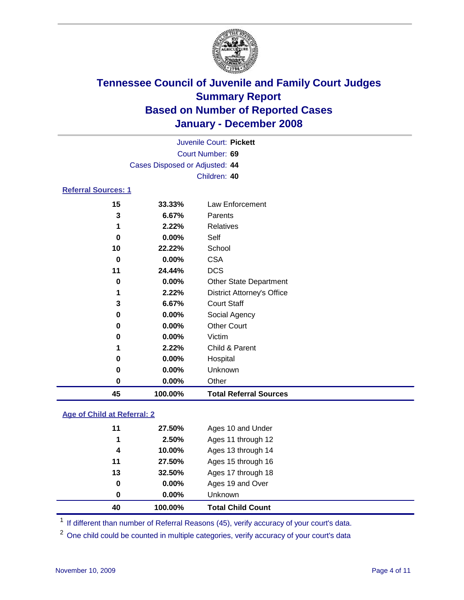

|                                |          | Juvenile Court: Pickett           |  |  |  |
|--------------------------------|----------|-----------------------------------|--|--|--|
|                                |          | Court Number: 69                  |  |  |  |
| Cases Disposed or Adjusted: 44 |          |                                   |  |  |  |
|                                |          | Children: 40                      |  |  |  |
| <b>Referral Sources: 1</b>     |          |                                   |  |  |  |
| 15                             | 33.33%   | Law Enforcement                   |  |  |  |
| 3                              | 6.67%    | Parents                           |  |  |  |
| 1                              | 2.22%    | Relatives                         |  |  |  |
| 0                              | 0.00%    | Self                              |  |  |  |
| 10                             | 22.22%   | School                            |  |  |  |
| 0                              | 0.00%    | <b>CSA</b>                        |  |  |  |
| 11                             | 24.44%   | <b>DCS</b>                        |  |  |  |
| 0                              | 0.00%    | <b>Other State Department</b>     |  |  |  |
| 1                              | 2.22%    | <b>District Attorney's Office</b> |  |  |  |
| 3                              | 6.67%    | <b>Court Staff</b>                |  |  |  |
| 0                              | $0.00\%$ | Social Agency                     |  |  |  |
| 0                              | 0.00%    | <b>Other Court</b>                |  |  |  |
| 0                              | $0.00\%$ | Victim                            |  |  |  |
| 1                              | 2.22%    | Child & Parent                    |  |  |  |
| 0                              | $0.00\%$ | Hospital                          |  |  |  |
| 0                              | $0.00\%$ | Unknown                           |  |  |  |

### **Age of Child at Referral: 2**

| 40 | 100.00%  | <b>Total Child Count</b> |  |
|----|----------|--------------------------|--|
| 0  | $0.00\%$ | Unknown                  |  |
| 0  | 0.00%    | Ages 19 and Over         |  |
| 13 | 32.50%   | Ages 17 through 18       |  |
| 11 | 27.50%   | Ages 15 through 16       |  |
| 4  | 10.00%   | Ages 13 through 14       |  |
| 1  | 2.50%    | Ages 11 through 12       |  |
| 11 | 27.50%   | Ages 10 and Under        |  |
|    |          |                          |  |

<sup>1</sup> If different than number of Referral Reasons (45), verify accuracy of your court's data.

**0.00%** Other

**100.00% Total Referral Sources**

<sup>2</sup> One child could be counted in multiple categories, verify accuracy of your court's data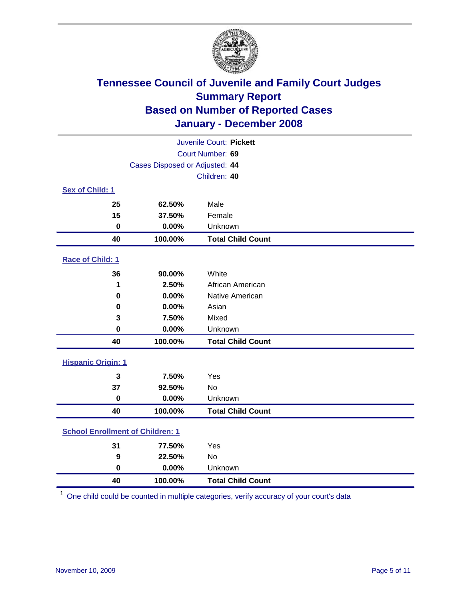

| Juvenile Court: Pickett   |                                         |                          |  |  |  |
|---------------------------|-----------------------------------------|--------------------------|--|--|--|
|                           | Court Number: 69                        |                          |  |  |  |
|                           | Cases Disposed or Adjusted: 44          |                          |  |  |  |
|                           |                                         | Children: 40             |  |  |  |
| Sex of Child: 1           |                                         |                          |  |  |  |
| 25                        | 62.50%                                  | Male                     |  |  |  |
| 15                        | 37.50%                                  | Female                   |  |  |  |
| 0                         | 0.00%                                   | Unknown                  |  |  |  |
| 40                        | 100.00%                                 | <b>Total Child Count</b> |  |  |  |
| <b>Race of Child: 1</b>   |                                         |                          |  |  |  |
| 36                        | 90.00%                                  | White                    |  |  |  |
| 1                         | 2.50%                                   | African American         |  |  |  |
| 0                         | 0.00%                                   | Native American          |  |  |  |
| 0                         | 0.00%                                   | Asian                    |  |  |  |
| 3                         | 7.50%                                   | Mixed                    |  |  |  |
| $\bf{0}$                  | 0.00%                                   | Unknown                  |  |  |  |
| 40                        | 100.00%                                 | <b>Total Child Count</b> |  |  |  |
| <b>Hispanic Origin: 1</b> |                                         |                          |  |  |  |
| 3                         | 7.50%                                   | Yes                      |  |  |  |
| 37                        | 92.50%                                  | <b>No</b>                |  |  |  |
| $\mathbf 0$               | 0.00%                                   | Unknown                  |  |  |  |
| 40                        | 100.00%                                 | <b>Total Child Count</b> |  |  |  |
|                           | <b>School Enrollment of Children: 1</b> |                          |  |  |  |
| 31                        | 77.50%                                  | Yes                      |  |  |  |
| 9                         | 22.50%                                  | No                       |  |  |  |
| $\bf{0}$                  | 0.00%                                   | Unknown                  |  |  |  |
| 40                        | 100.00%                                 | <b>Total Child Count</b> |  |  |  |

One child could be counted in multiple categories, verify accuracy of your court's data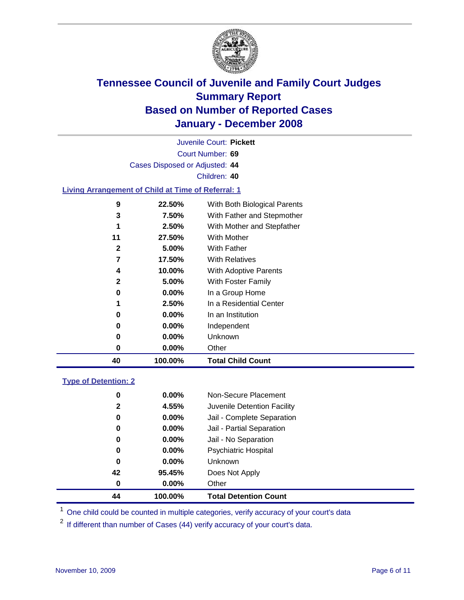

Court Number: **69** Juvenile Court: **Pickett** Cases Disposed or Adjusted: **44** Children: **40 Living Arrangement of Child at Time of Referral: 1 22.50%** With Both Biological Parents **7.50%** With Father and Stepmother **2.50%** With Mother and Stepfather **27.50%** With Mother **5.00%** With Father **17.50%** With Relatives **10.00%** With Adoptive Parents **5.00%** With Foster Family **0.00%** In a Group Home **2.50%** In a Residential Center

| 40 | 100.00%  | <b>Total Child Count</b> |
|----|----------|--------------------------|
| 0  | $0.00\%$ | Other                    |
|    | $0.00\%$ | <b>Unknown</b>           |
|    | $0.00\%$ | Independent              |
|    | $0.00\%$ | In an Institution        |

### **Type of Detention: 2**

| 44           | 100.00%  | <b>Total Detention Count</b> |  |
|--------------|----------|------------------------------|--|
| 0            | 0.00%    | Other                        |  |
| 42           | 95.45%   | Does Not Apply               |  |
| 0            | $0.00\%$ | <b>Unknown</b>               |  |
| 0            | 0.00%    | <b>Psychiatric Hospital</b>  |  |
| 0            | $0.00\%$ | Jail - No Separation         |  |
| 0            | $0.00\%$ | Jail - Partial Separation    |  |
| 0            | $0.00\%$ | Jail - Complete Separation   |  |
| $\mathbf{2}$ | 4.55%    | Juvenile Detention Facility  |  |
| 0            | $0.00\%$ | Non-Secure Placement         |  |
|              |          |                              |  |

<sup>1</sup> One child could be counted in multiple categories, verify accuracy of your court's data

<sup>2</sup> If different than number of Cases (44) verify accuracy of your court's data.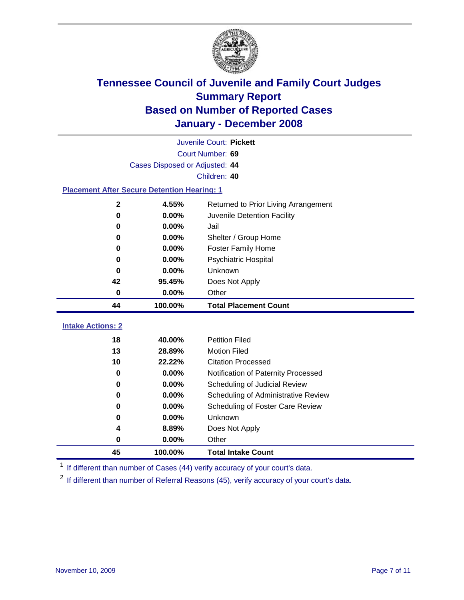

|                          | Juvenile Court: Pickett                            |                                                                      |  |  |  |
|--------------------------|----------------------------------------------------|----------------------------------------------------------------------|--|--|--|
|                          |                                                    | Court Number: 69                                                     |  |  |  |
|                          | Cases Disposed or Adjusted: 44                     |                                                                      |  |  |  |
|                          |                                                    | Children: 40                                                         |  |  |  |
|                          | <b>Placement After Secure Detention Hearing: 1</b> |                                                                      |  |  |  |
| $\mathbf 2$              | 4.55%                                              | Returned to Prior Living Arrangement                                 |  |  |  |
| 0                        | 0.00%                                              | Juvenile Detention Facility                                          |  |  |  |
| 0                        | 0.00%                                              | Jail                                                                 |  |  |  |
| 0                        | 0.00%                                              | Shelter / Group Home                                                 |  |  |  |
| 0                        | 0.00%                                              | <b>Foster Family Home</b>                                            |  |  |  |
| 0                        | 0.00%                                              | Psychiatric Hospital                                                 |  |  |  |
| 0                        | 0.00%                                              | Unknown                                                              |  |  |  |
| 42                       | 95.45%                                             | Does Not Apply                                                       |  |  |  |
| $\bf{0}$                 | 0.00%                                              | Other                                                                |  |  |  |
| 44                       | 100.00%                                            | <b>Total Placement Count</b>                                         |  |  |  |
| <b>Intake Actions: 2</b> |                                                    |                                                                      |  |  |  |
| 18                       |                                                    |                                                                      |  |  |  |
|                          |                                                    |                                                                      |  |  |  |
|                          | 40.00%                                             | <b>Petition Filed</b>                                                |  |  |  |
| 13                       | 28.89%                                             | <b>Motion Filed</b>                                                  |  |  |  |
| 10<br>0                  | 22.22%                                             | <b>Citation Processed</b>                                            |  |  |  |
| $\mathbf 0$              | 0.00%<br>0.00%                                     | Notification of Paternity Processed                                  |  |  |  |
| 0                        | 0.00%                                              | Scheduling of Judicial Review<br>Scheduling of Administrative Review |  |  |  |
| 0                        | 0.00%                                              |                                                                      |  |  |  |
| $\bf{0}$                 | 0.00%                                              | Scheduling of Foster Care Review<br>Unknown                          |  |  |  |
| 4                        | 8.89%                                              | Does Not Apply                                                       |  |  |  |
| $\bf{0}$                 | 0.00%                                              | Other                                                                |  |  |  |

<sup>1</sup> If different than number of Cases (44) verify accuracy of your court's data.

<sup>2</sup> If different than number of Referral Reasons (45), verify accuracy of your court's data.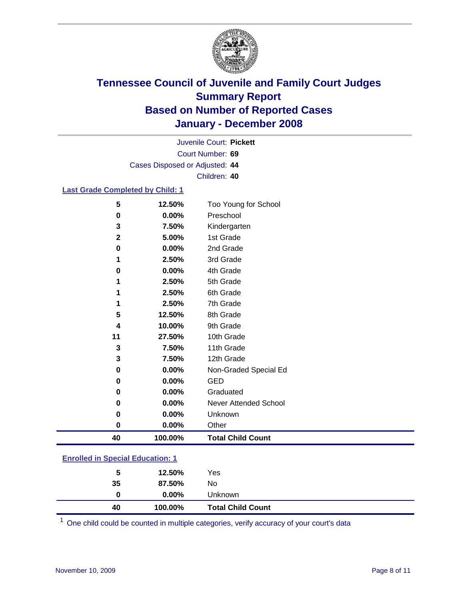

Court Number: **69** Juvenile Court: **Pickett** Cases Disposed or Adjusted: **44** Children: **40**

#### **Last Grade Completed by Child: 1**

| 5            | 12.50%  | Too Young for School     |
|--------------|---------|--------------------------|
| 0            | 0.00%   | Preschool                |
| 3            | 7.50%   | Kindergarten             |
| $\mathbf{2}$ | 5.00%   | 1st Grade                |
| 0            | 0.00%   | 2nd Grade                |
| 1            | 2.50%   | 3rd Grade                |
| 0            | 0.00%   | 4th Grade                |
|              | 2.50%   | 5th Grade                |
|              | 2.50%   | 6th Grade                |
|              | 2.50%   | 7th Grade                |
| 5            | 12.50%  | 8th Grade                |
| 4            | 10.00%  | 9th Grade                |
| 11           | 27.50%  | 10th Grade               |
| 3            | 7.50%   | 11th Grade               |
| 3            | 7.50%   | 12th Grade               |
| $\mathbf 0$  | 0.00%   | Non-Graded Special Ed    |
| 0            | 0.00%   | <b>GED</b>               |
| 0            | 0.00%   | Graduated                |
| 0            | 0.00%   | Never Attended School    |
| 0            | 0.00%   | Unknown                  |
| $\bf{0}$     | 0.00%   | Other                    |
| 40           | 100.00% | <b>Total Child Count</b> |

### **Enrolled in Special Education: 1**

| 40 | 100.00%  | <b>Total Child Count</b> |  |
|----|----------|--------------------------|--|
| 0  | $0.00\%$ | Unknown                  |  |
| 35 | 87.50%   | No                       |  |
| 5  | 12.50%   | Yes                      |  |
|    |          |                          |  |

<sup>1</sup> One child could be counted in multiple categories, verify accuracy of your court's data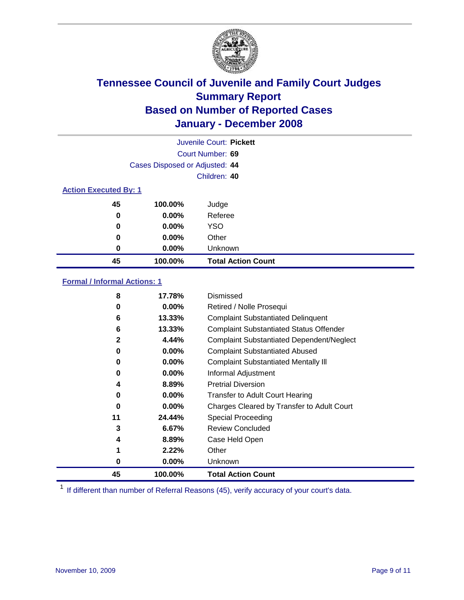

|                              | Juvenile Court: Pickett        |                           |  |  |  |
|------------------------------|--------------------------------|---------------------------|--|--|--|
| Court Number: 69             |                                |                           |  |  |  |
|                              | Cases Disposed or Adjusted: 44 |                           |  |  |  |
|                              |                                | Children: 40              |  |  |  |
| <b>Action Executed By: 1</b> |                                |                           |  |  |  |
| 45                           | 100.00%                        | Judge                     |  |  |  |
| 0                            | $0.00\%$                       | Referee                   |  |  |  |
| 0                            | $0.00\%$                       | <b>YSO</b>                |  |  |  |
| 0                            | $0.00\%$                       | Other                     |  |  |  |
| 0                            | $0.00\%$                       | Unknown                   |  |  |  |
| 45                           | 100.00%                        | <b>Total Action Count</b> |  |  |  |

#### **Formal / Informal Actions: 1**

| 8            | 17.78%   | Dismissed                                        |
|--------------|----------|--------------------------------------------------|
| 0            | $0.00\%$ | Retired / Nolle Prosequi                         |
| 6            | 13.33%   | <b>Complaint Substantiated Delinquent</b>        |
| 6            | 13.33%   | <b>Complaint Substantiated Status Offender</b>   |
| $\mathbf{2}$ | 4.44%    | <b>Complaint Substantiated Dependent/Neglect</b> |
| 0            | $0.00\%$ | <b>Complaint Substantiated Abused</b>            |
| 0            | $0.00\%$ | <b>Complaint Substantiated Mentally III</b>      |
| 0            | $0.00\%$ | Informal Adjustment                              |
| 4            | 8.89%    | <b>Pretrial Diversion</b>                        |
| 0            | $0.00\%$ | <b>Transfer to Adult Court Hearing</b>           |
| 0            | $0.00\%$ | Charges Cleared by Transfer to Adult Court       |
| 11           | 24.44%   | Special Proceeding                               |
| 3            | 6.67%    | <b>Review Concluded</b>                          |
| 4            | 8.89%    | Case Held Open                                   |
|              | 2.22%    | Other                                            |
| 0            | $0.00\%$ | <b>Unknown</b>                                   |
| 45           | 100.00%  | <b>Total Action Count</b>                        |

<sup>1</sup> If different than number of Referral Reasons (45), verify accuracy of your court's data.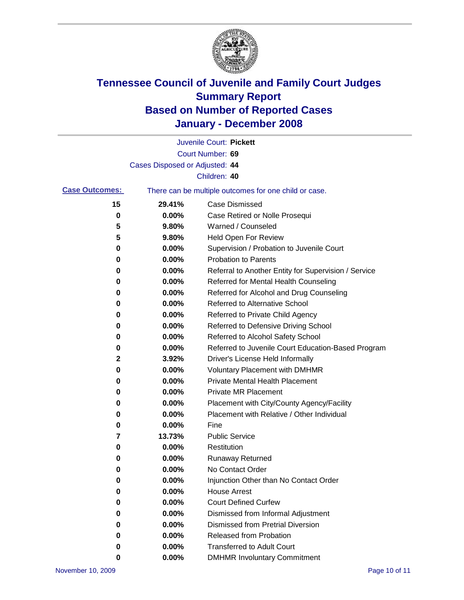

|                       |                                | Juvenile Court: Pickett                               |
|-----------------------|--------------------------------|-------------------------------------------------------|
|                       |                                | Court Number: 69                                      |
|                       | Cases Disposed or Adjusted: 44 |                                                       |
|                       |                                | Children: 40                                          |
| <b>Case Outcomes:</b> |                                | There can be multiple outcomes for one child or case. |
| 15                    | 29.41%                         | <b>Case Dismissed</b>                                 |
| 0                     | 0.00%                          | Case Retired or Nolle Prosequi                        |
| 5                     | 9.80%                          | Warned / Counseled                                    |
| 5                     | 9.80%                          | <b>Held Open For Review</b>                           |
| 0                     | 0.00%                          | Supervision / Probation to Juvenile Court             |
| 0                     | 0.00%                          | <b>Probation to Parents</b>                           |
| 0                     | 0.00%                          | Referral to Another Entity for Supervision / Service  |
| 0                     | 0.00%                          | Referred for Mental Health Counseling                 |
| 0                     | 0.00%                          | Referred for Alcohol and Drug Counseling              |
| 0                     | 0.00%                          | Referred to Alternative School                        |
| 0                     | 0.00%                          | Referred to Private Child Agency                      |
| 0                     | 0.00%                          | Referred to Defensive Driving School                  |
| 0                     | 0.00%                          | Referred to Alcohol Safety School                     |
| 0                     | 0.00%                          | Referred to Juvenile Court Education-Based Program    |
| 2                     | 3.92%                          | Driver's License Held Informally                      |
| 0                     | 0.00%                          | <b>Voluntary Placement with DMHMR</b>                 |
| 0                     | 0.00%                          | Private Mental Health Placement                       |
| 0                     | 0.00%                          | <b>Private MR Placement</b>                           |
| 0                     | 0.00%                          | Placement with City/County Agency/Facility            |
| 0                     | 0.00%                          | Placement with Relative / Other Individual            |
| 0                     | 0.00%                          | Fine                                                  |
| 7                     | 13.73%                         | <b>Public Service</b>                                 |
| 0                     | 0.00%                          | Restitution                                           |
| 0                     | 0.00%                          | <b>Runaway Returned</b>                               |
| 0                     | 0.00%                          | No Contact Order                                      |
| 0                     | 0.00%                          | Injunction Other than No Contact Order                |
| 0                     | 0.00%                          | <b>House Arrest</b>                                   |
| 0                     | 0.00%                          | <b>Court Defined Curfew</b>                           |
| 0                     | 0.00%                          | Dismissed from Informal Adjustment                    |
| 0                     | 0.00%                          | <b>Dismissed from Pretrial Diversion</b>              |
| 0                     | 0.00%                          | Released from Probation                               |
| 0                     | 0.00%                          | <b>Transferred to Adult Court</b>                     |
| 0                     | 0.00%                          | <b>DMHMR Involuntary Commitment</b>                   |